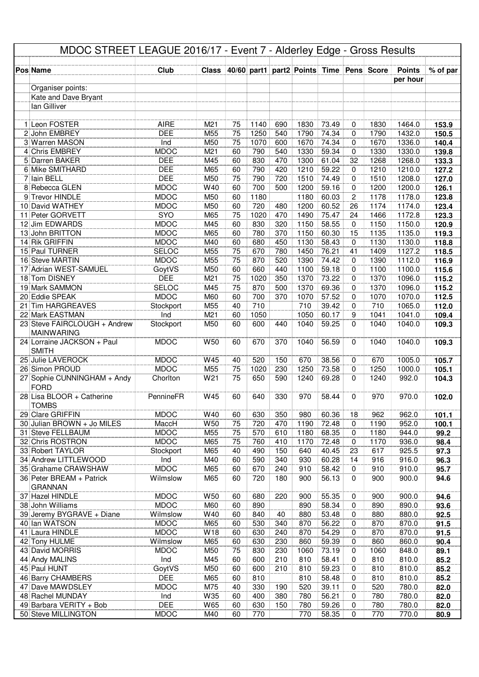|     |                                                 | MDOC STREET LEAGUE 2016/17 - Event 7 - Alderley Edge - Gross Results |                 |          |              |            |                                                |                |                |              |                  |                |
|-----|-------------------------------------------------|----------------------------------------------------------------------|-----------------|----------|--------------|------------|------------------------------------------------|----------------|----------------|--------------|------------------|----------------|
|     | <b>Pos Name</b>                                 | Club                                                                 |                 |          |              |            | Class 40/60 part1 part2 Points Time Pens Score |                |                |              | <b>Points</b>    | % of par       |
|     |                                                 |                                                                      |                 |          |              |            |                                                |                |                |              | per hour         |                |
|     | Organiser points:                               |                                                                      |                 |          |              |            |                                                |                |                |              |                  |                |
|     | Kate and Dave Bryant                            |                                                                      |                 |          |              |            |                                                |                |                |              |                  |                |
|     | lan Gilliver                                    |                                                                      |                 |          |              |            |                                                |                |                |              |                  |                |
|     |                                                 |                                                                      |                 |          |              |            |                                                |                |                |              |                  |                |
|     | 1 Leon FOSTER                                   | <b>AIRE</b>                                                          | M <sub>21</sub> | 75       | 1140         | 690        | 1830                                           | 73.49          | 0              | 1830         | 1464.0           | 153.9          |
|     | 2 John EMBREY<br>3 Warren MASON                 | <b>DEE</b>                                                           | M55<br>M50      | 75       | 1250<br>1070 | 540        | 1790<br>1670                                   | 74.34<br>74.34 | 0<br>0         | 1790<br>1670 | 1432.0<br>1336.0 | 150.5          |
|     | 4 Chris EMBREY                                  | Ind<br><b>MDOC</b>                                                   | M21             | 75<br>60 | 790          | 600<br>540 | 1330                                           | 59.34          | 0              | 1330         | 1330.0           | 140.4<br>139.8 |
|     | 5 Darren BAKER                                  | <b>DEE</b>                                                           | M45             | 60       | 830          | 470        | 1300                                           | 61.04          | 32             | 1268         | 1268.0           | 133.3          |
|     | 6 Mike SMITHARD                                 | <b>DEE</b>                                                           | M65             | 60       | 790          | 420        | 1210                                           | 59.22          | 0              | 1210         | 1210.0           | 127.2          |
|     | 7 Iain BELL                                     | <b>DEE</b>                                                           | M50             | 75       | 790          | 720        | 1510                                           | 74.49          | 0              | 1510         | 1208.0           | 127.0          |
|     | 8 Rebecca GLEN                                  | <b>MDOC</b>                                                          | W40             | 60       | 700          | 500        | 1200                                           | 59.16          | 0              | 1200         | 1200.0           | 126.1          |
|     | 9 Trevor HINDLE                                 | <b>MDOC</b>                                                          | M50             | 60       | 1180         |            | 1180                                           | 60.03          | $\overline{c}$ | 1178         | 1178.0           | 123.8          |
|     | 10 David WATHEY                                 | <b>MDOC</b>                                                          | M50             | 60       | 720          | 480        | 1200                                           | 60.52          | 26             | 1174         | 1174.0           | 123.4          |
|     | 11 Peter GORVETT                                | <b>SYO</b>                                                           | M65             | 75       | 1020         | 470        | 1490                                           | 75.47          | 24             | 1466         | 1172.8           | 123.3          |
| 12  | Jim EDWARDS                                     | <b>MDOC</b>                                                          | M45             | 60       | 830          | 320        | 1150                                           | 58.55          | 0              | 1150         | 1150.0           | 120.9          |
|     | 13 John BRITTON<br>14 Rik GRIFFIN               | <b>MDOC</b><br><b>MDOC</b>                                           | M65<br>M40      | 60<br>60 | 780<br>680   | 370<br>450 | 1150<br>1130                                   | 60.30<br>58.43 | 15<br>0        | 1135<br>1130 | 1135.0<br>1130.0 | 119.3          |
|     | 15 Paul TURNER                                  | SELOC                                                                | M55             | 75       | 670          | 780        | 1450                                           | 76.21          | 41             | 1409         | 1127.2           | 118.8<br>118.5 |
|     | 16 Steve MARTIN                                 | <b>MDOC</b>                                                          | M55             | 75       | 870          | 520        | 1390                                           | 74.42          | 0              | 1390         | 1112.0           | 116.9          |
|     | 17 Adrian WEST-SAMUEL                           | GoytVS                                                               | M50             | 60       | 660          | 440        | 1100                                           | 59.18          | 0              | 1100         | 1100.0           | 115.6          |
|     | 18 Tom DISNEY                                   | <b>DEE</b>                                                           | M21             | 75       | 1020         | 350        | 1370                                           | 73.22          | 0              | 1370         | 1096.0           | 115.2          |
|     | 19 Mark SAMMON                                  | <b>SELOC</b>                                                         | M45             | 75       | 870          | 500        | 1370                                           | 69.36          | 0              | 1370         | 1096.0           | 115.2          |
|     | 20 Eddie SPEAK                                  | <b>MDOC</b>                                                          | M60             | 60       | 700          | 370        | 1070                                           | 57.52          | 0              | 1070         | 1070.0           | 112.5          |
| 21  | <b>Tim HARGREAVES</b>                           | Stockport                                                            | M55             | 40       | 710          |            | 710                                            | 39.42          | 0              | 710          | 1065.0           | 112.0          |
| 22  | Mark EASTMAN                                    | Ind                                                                  | M21             | 60       | 1050         |            | 1050                                           | 60.17          | 9              | 1041         | 1041.0           | 109.4          |
|     | 23 Steve FAIRCLOUGH + Andrew                    | Stockport                                                            | M50             | 60       | 600          | 440        | 1040                                           | 59.25          | 0              | 1040         | 1040.0           | 109.3          |
|     | <b>MAINWARING</b><br>24 Lorraine JACKSON + Paul | <b>MDOC</b>                                                          | W <sub>50</sub> | 60       | 670          | 370        | 1040                                           | 56.59          | $\Omega$       | 1040         | 1040.0           | 109.3          |
|     | <b>SMITH</b>                                    |                                                                      |                 |          |              |            |                                                |                |                |              |                  |                |
|     | 25 Julie LAVEROCK                               | <b>MDOC</b>                                                          | W45             | 40       | 520          | 150        | 670                                            | 38.56          | 0              | 670          | 1005.0           | 105.7          |
|     | 26 Simon PROUD                                  | <b>MDOC</b>                                                          | M55             | 75       | 1020         | 230        | 1250                                           | 73.58          | 0              | 1250         | 1000.0           | 105.1          |
|     | 27 Sophie CUNNINGHAM + Andy<br><b>FORD</b>      | Chorlton                                                             | W21             | 75       | 650          | 590        | 1240                                           | 69.28          | 0              | 1240         | 992.0            | 104.3          |
|     | 28 Lisa BLOOR + Catherine<br><b>TOMBS</b>       | PennineFR                                                            | W45             | 60       | 640          | 330        | 970                                            | 58.44          | $\Omega$       | 970          | 970.0            | 102.0          |
|     | 29 Clare GRIFFIN                                | <b>MDOC</b>                                                          | W40             | 60       | 630          | 350        | 980                                            | 60.36          | 18             | 962          | 962.0            | 101.1          |
|     | 30 Julian BROWN + Jo MILES                      | MaccH                                                                | <b>W50</b>      | 75       | 720          | 470        | 1190                                           | 72.48          | $\mathbf 0$    | 1190         | 952.0            | 100.1          |
|     | 31 Steve FELLBAUM                               | <b>MDOC</b>                                                          | M55             | 75       | 570          | 610        | 1180                                           | 68.35          | 0              | 1180         | 944.0            | 99.2           |
|     | 32 Chris ROSTRON                                | <b>MDOC</b>                                                          | M65             | 75       | 760          | 410        | 1170                                           | 72.48          | 0              | 1170         | 936.0            | 98.4           |
|     | 33 Robert TAYLOR                                | Stockport                                                            | M65             | 40       | 490          | 150        | 640                                            | 40.45          | 23             | 617          | 925.5            | 97.3           |
|     | 34 Andrew LITTLEWOOD<br>35 Grahame CRAWSHAW     | Ind<br><b>MDOC</b>                                                   | M40<br>M65      | 60<br>60 | 590<br>670   | 340<br>240 | 930<br>910                                     | 60.28<br>58.42 | 14<br>0        | 916<br>910   | 916.0<br>910.0   | 96.3<br>95.7   |
|     | 36 Peter BREAM + Patrick                        | Wilmslow                                                             | M65             | 60       | 720          | 180        | 900                                            | 56.13          | 0              | 900          | 900.0            | 94.6           |
|     | <b>GRANNAN</b>                                  |                                                                      |                 |          |              |            |                                                |                |                |              |                  |                |
|     | 37 Hazel HINDLE                                 | <b>MDOC</b>                                                          | W50             | 60       | 680          | 220        | 900                                            | 55.35          | 0              | 900          | 900.0            | 94.6           |
|     | 38 John Williams                                | <b>MDOC</b>                                                          | M60             | 60       | 890          |            | 890                                            | 58.34          | 0              | 890          | 890.0            | 93.6           |
|     | 39 Jeremy BYGRAVE + Diane                       | Wilmslow                                                             | W40             | 60       | 840          | 40         | 880                                            | 53.48          | 0              | 880          | 880.0            | 92.5           |
|     | 40 Ian WATSON                                   | <b>MDOC</b>                                                          | M65             | 60       | 530          | 340        | 870                                            | 56.22          | 0              | 870          | 870.0            | 91.5           |
| 411 | Laura HINDLE                                    | <b>MDOC</b>                                                          | W18             | 60       | 630          | 240        | 870                                            | 54.29          | 0              | 870          | 870.0            | 91.5           |
|     | 42 Tony HULME<br>43 David MORRIS                | Wilmslow<br><b>MDOC</b>                                              | M65             | 60<br>75 | 630          | 230        | 860                                            | 59.39<br>73.19 | 0<br>0         | 860          | 860.0            | 90.4           |
|     | 44 Andy MALINS                                  | Ind                                                                  | M50<br>M45      | 60       | 830<br>600   | 230<br>210 | 1060<br>810                                    | 58.41          | 0              | 1060<br>810  | 848.0<br>810.0   | 89.1<br>85.2   |
|     | 45 Paul HUNT                                    | GoytVS                                                               | M50             | 60       | 600          | 210        | 810                                            | 59.23          | 0              | 810          | 810.0            | 85.2           |
|     | 46 Barry CHAMBERS                               | <b>DEE</b>                                                           | M65             | 60       | 810          |            | 810                                            | 58.48          | 0              | 810          | 810.0            | 85.2           |
|     | 47 Dave MAWDSLEY                                | <b>MDOC</b>                                                          | M75             | 40       | 330          | 190        | 520                                            | 39.11          | 0              | 520          | 780.0            | 82.0           |
|     | 48 Rachel MUNDAY                                | Ind                                                                  | W35             | 60       | 400          | 380        | 780                                            | 56.21          | 0              | 780          | 780.0            | 82.0           |
|     | 49 Barbara VERITY + Bob                         | <b>DEE</b>                                                           | W65             | 60       | 630          | 150        | 780                                            | 59.26          | 0              | 780          | 780.0            | 82.0           |
|     | 50 Steve MILLINGTON                             | <b>MDOC</b>                                                          | M40             | 60       | 770          |            | 770                                            | 58.35          | 0              | 770          | 770.0            | 80.9           |